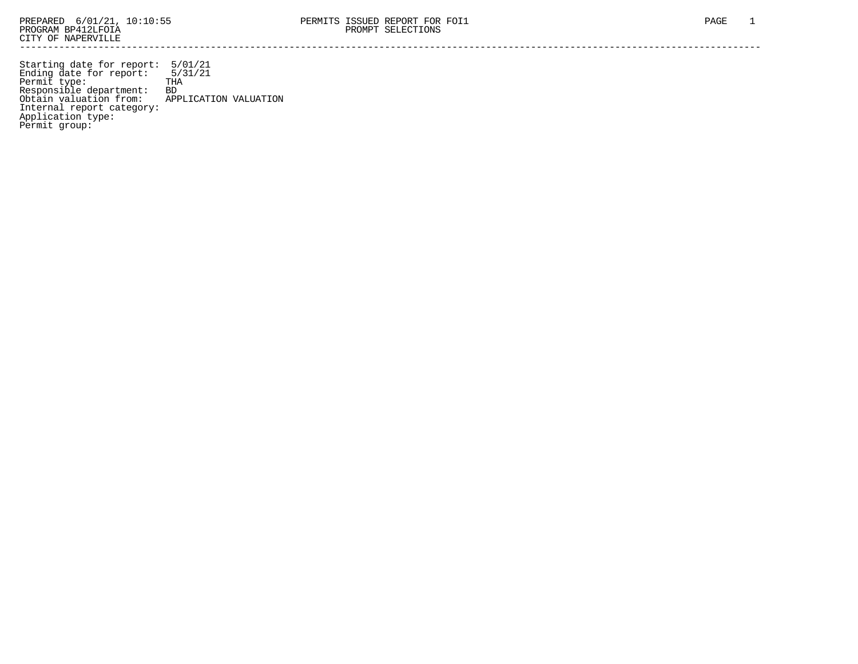Starting date for report: 5/01/21 Ending date for report: 5/31/21 Permit type: THA Responsible department: BD Obtain valuation from: APPLICATION VALUATION Internal report category: Application type: Permit group: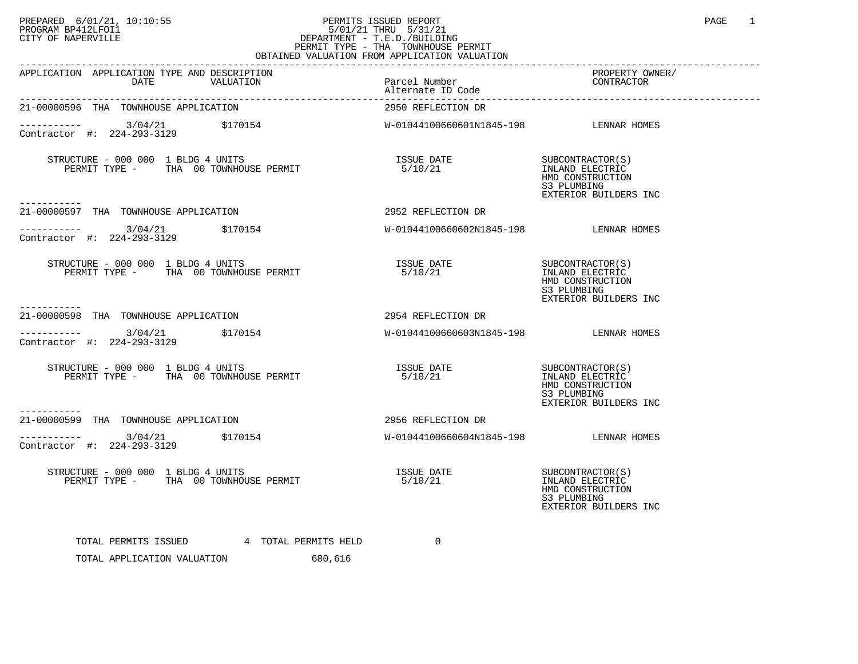## PREPARED 6/01/21, 10:10:55 PERMITS ISSUED REPORT PROGRAM BP412LFOI1 PAGE 1<br>PROGRAM BP412LFOI1 55 PAGE 1<br>CITY OF NAPERVILLE PROGRAM BP412LFOI1 5/01/21 THRU 5/31/21 CITY OF NAPERVILLE **Example 20** CITY OF NAPERVILLE PERMIT TYPE - THA TOWNHOUSE PERMIT

| OBTAINED VALUATION FROM APPLICATION VALUATION                                                                                                                                                        |                                        |                                                                                                 |  |  |  |
|------------------------------------------------------------------------------------------------------------------------------------------------------------------------------------------------------|----------------------------------------|-------------------------------------------------------------------------------------------------|--|--|--|
| APPLICATION APPLICATION TYPE AND DESCRIPTION                                                                                                                                                         |                                        | PROPERTY OWNER/                                                                                 |  |  |  |
| 21-00000596 THA TOWNHOUSE APPLICATION                                                                                                                                                                | 2950 REFLECTION DR                     |                                                                                                 |  |  |  |
| ----------- 3/04/21 \$170154<br>Contractor #: 224-293-3129 \$170154                                                                                                                                  | W-01044100660601N1845-198 LENNAR HOMES |                                                                                                 |  |  |  |
| -----------                                                                                                                                                                                          |                                        | HMD CONSTRUCTION<br>S3 PLUMBING<br>EXTERIOR BUILDERS INC                                        |  |  |  |
| 21-00000597 THA TOWNHOUSE APPLICATION                                                                                                                                                                | 2952 REFLECTION DR                     |                                                                                                 |  |  |  |
| $\frac{\text{---} \text{---} \text{---} \text{---}}{\text{Contractor}}$ #: 224-293-3129                                                                                                              |                                        |                                                                                                 |  |  |  |
| $STRUCTURE$ - 000 000 1 BLDG 4 UNITS<br>PERMIT TYPE - THA 00 TOWNHOUSE PERMIT                                                                                                                        | ISSUE DATE<br>5/10/21                  | SUBCONTRACTOR(S)<br>INLAND ELECTRIC<br>HMD CONSTRUCTION<br>S3 PLUMBING<br>EXTERIOR BUILDERS INC |  |  |  |
| -----------<br>2954 REFLECTION DR<br>21-00000598 THA TOWNHOUSE APPLICATION                                                                                                                           |                                        |                                                                                                 |  |  |  |
| ----------- 3/04/21 \$170154<br>Contractor #: 224-293-3129                                                                                                                                           | W-01044100660603N1845-198 LENNAR HOMES |                                                                                                 |  |  |  |
| $\begin{tabular}{lllllllllll} \textbf{STRUCTURE} & - & 000 & 000 & 1 & \textbf{BLDG} & 4 & \textbf{UNITS} \\ \textbf{PERMIT TYPE} & - & \textbf{THA} & 00 & \textbf{TONNHOUSE PERMIT} \end{tabular}$ | 5/10/21                                | INLAND ELECTRIC<br>HMD CONSTRUCTION<br>S3 PLUMBING<br>EXTERIOR BUILDERS INC                     |  |  |  |
| 21-00000599 THA TOWNHOUSE APPLICATION NAME ON STATE 2956 REFLECTION DR                                                                                                                               |                                        |                                                                                                 |  |  |  |
|                                                                                                                                                                                                      | W-01044100660604N1845-198 LENNAR HOMES |                                                                                                 |  |  |  |
|                                                                                                                                                                                                      |                                        | SUBCONTRACTOR(S)<br>INLAND ELECTRIC<br>HMD CONSTRUCTION<br>S3 PLUMBING<br>EXTERIOR BUILDERS INC |  |  |  |
| TOTAL PERMITS ISSUED 4 TOTAL PERMITS HELD<br>a mara ny ara-daharanjarahasin'ilay kaominina dia 49.4199.<br>-------                                                                                   | $\Omega$                               |                                                                                                 |  |  |  |

TOTAL APPLICATION VALUATION 680,616